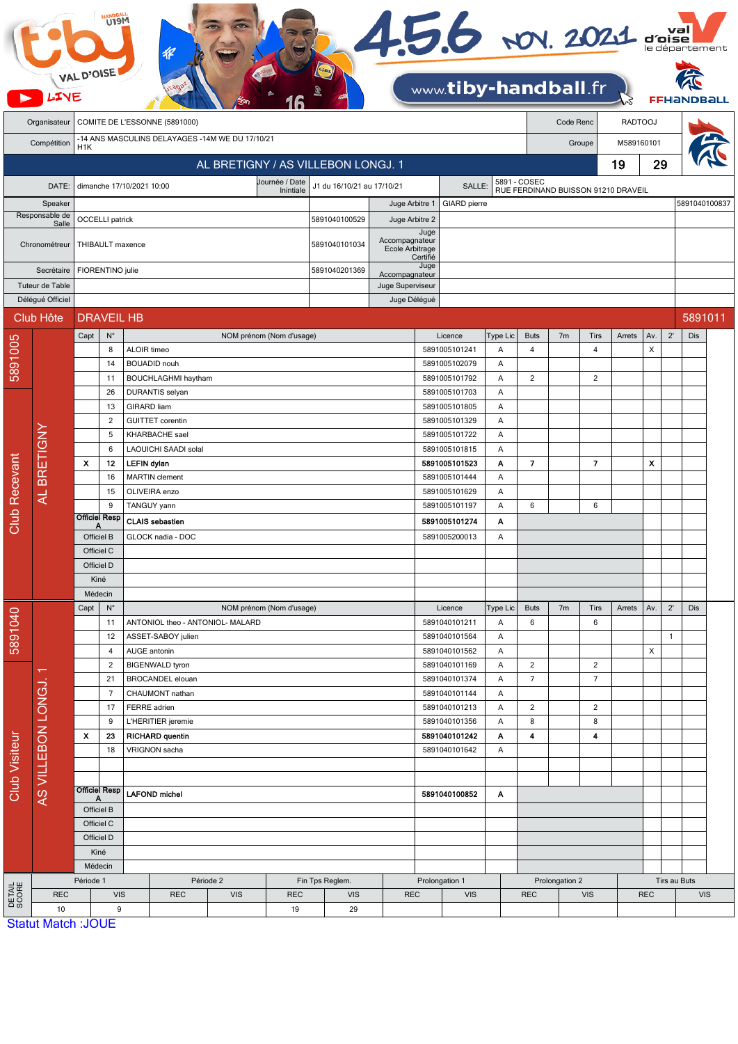|                         |                                       | <b>VAL D'OISE</b>                                        | U19M              |                        |                                                     |                                    |               |                                    | 456 NOV. 2021 d'Oise |               | www.tiby-handball.fr                |                          |                               |                |                               |                |              | FFHar        |         |  |
|-------------------------|---------------------------------------|----------------------------------------------------------|-------------------|------------------------|-----------------------------------------------------|------------------------------------|---------------|------------------------------------|----------------------|---------------|-------------------------------------|--------------------------|-------------------------------|----------------|-------------------------------|----------------|--------------|--------------|---------|--|
|                         | Organisateur                          |                                                          |                   |                        | COMITE DE L'ESSONNE (5891000)                       |                                    |               |                                    |                      |               |                                     |                          |                               | Code Renc      |                               | <b>RADTOOJ</b> |              |              |         |  |
|                         | Compétition                           | -14 ANS MASCULINS DELAYAGES -14M WE DU 17/10/21          |                   |                        |                                                     |                                    |               |                                    |                      |               |                                     |                          |                               | Groupe         |                               | M589160101     |              |              |         |  |
|                         |                                       | H1K                                                      |                   |                        |                                                     |                                    |               |                                    |                      |               |                                     |                          |                               |                |                               |                |              |              |         |  |
|                         |                                       |                                                          |                   |                        |                                                     | AL BRETIGNY / AS VILLEBON LONGJ. 1 |               |                                    |                      |               |                                     |                          |                               |                |                               | 19             | 29           |              |         |  |
|                         | DATE:                                 | Journée / Date<br>dimanche 17/10/2021 10:00<br>Inintiale |                   |                        |                                                     |                                    |               | J1 du 16/10/21 au 17/10/21         |                      |               | SALLE:                              |                          | 5891 - COSEC                  |                |                               |                |              |              |         |  |
|                         | Speaker                               |                                                          |                   |                        |                                                     |                                    |               | Juge Arbitre 1                     |                      | GIARD pierre  | RUE FERDINAND BUISSON 91210 DRAVEIL |                          |                               |                | 5891040100837                 |                |              |              |         |  |
| Responsable de<br>Salle |                                       | <b>OCCELLI</b> patrick                                   |                   |                        |                                                     |                                    | 5891040100529 | Juge Arbitre 2                     |                      |               |                                     |                          |                               |                |                               |                |              |              |         |  |
|                         |                                       |                                                          |                   |                        |                                                     |                                    |               |                                    | Juge                 |               |                                     |                          |                               |                |                               |                |              |              |         |  |
|                         | Chronométreur                         | THIBAULT maxence                                         |                   |                        |                                                     |                                    | 5891040101034 | Accompagnateur<br>Ecole Arbitrage  |                      |               |                                     |                          |                               |                |                               |                |              |              |         |  |
| Secrétaire              |                                       |                                                          |                   |                        |                                                     |                                    |               |                                    | Certifié<br>Juge     |               |                                     |                          |                               |                |                               |                |              |              |         |  |
|                         | Tuteur de Table                       | FIORENTINO julie                                         |                   |                        |                                                     |                                    | 5891040201369 | Accompagnateur<br>Juge Superviseur |                      |               |                                     |                          |                               |                |                               |                |              |              |         |  |
|                         | Délégué Officiel                      |                                                          |                   |                        |                                                     |                                    |               |                                    | Juge Délégué         |               |                                     |                          |                               |                |                               |                |              |              |         |  |
|                         | Club Hôte                             |                                                          | <b>DRAVEIL HB</b> |                        |                                                     |                                    |               |                                    |                      |               |                                     |                          |                               |                |                               |                |              |              | 5891011 |  |
|                         |                                       |                                                          |                   |                        |                                                     |                                    |               |                                    |                      |               |                                     |                          |                               |                |                               |                |              |              |         |  |
| 5891005                 |                                       | Capt                                                     | $N^{\circ}$<br>8  | ALOIR timeo            |                                                     | NOM prénom (Nom d'usage)           |               |                                    |                      |               | Licence<br>5891005101241            | Type Lic<br>Α            | <b>Buts</b><br>$\overline{4}$ | 7 <sub>m</sub> | <b>Tirs</b><br>$\overline{4}$ | Arrets         | Av.<br>X     | $2^{\prime}$ | Dis     |  |
|                         |                                       |                                                          | 14                |                        | <b>BOUADID</b> nouh                                 |                                    |               |                                    |                      |               | 5891005102079                       | Α                        |                               |                |                               |                |              |              |         |  |
|                         |                                       |                                                          | 11                |                        | <b>BOUCHLAGHMI</b> haytham                          |                                    |               |                                    |                      |               | 5891005101792                       | Α                        | $\overline{2}$                |                | $\overline{2}$                |                |              |              |         |  |
|                         |                                       |                                                          | 26                |                        | DURANTIS selyan                                     |                                    |               |                                    |                      |               | 5891005101703                       | Α                        |                               |                |                               |                |              |              |         |  |
|                         |                                       |                                                          | 13                | <b>GIRARD</b> liam     |                                                     |                                    |               |                                    |                      |               | 5891005101805                       | Α                        |                               |                |                               |                |              |              |         |  |
|                         |                                       |                                                          | 2                 |                        | <b>GUITTET</b> corentin                             |                                    |               |                                    |                      |               | 5891005101329                       | Α                        |                               |                |                               |                |              |              |         |  |
|                         |                                       |                                                          | 5                 |                        | <b>KHARBACHE</b> sael                               |                                    |               |                                    |                      |               | 5891005101722                       | Α                        |                               |                |                               |                |              |              |         |  |
|                         |                                       |                                                          | 6                 |                        | LAOUICHI SAADI solal                                |                                    |               |                                    |                      |               | 5891005101815                       | Α                        |                               |                |                               |                |              |              |         |  |
|                         | AL BRETIGNY                           | $\pmb{\chi}$                                             | 12<br>16          | <b>LEFIN dylan</b>     | <b>MARTIN</b> clement                               |                                    |               |                                    |                      |               | 5891005101523<br>5891005101444      | Α<br>Α                   | $\overline{7}$                |                | $\overline{7}$                |                | X            |              |         |  |
|                         |                                       |                                                          | 15                |                        | OLIVEIRA enzo                                       |                                    |               |                                    |                      |               | 5891005101629                       | Α                        |                               |                |                               |                |              |              |         |  |
|                         |                                       |                                                          | 9                 |                        | TANGUY yann                                         |                                    |               |                                    |                      |               | 5891005101197                       | A                        | 6                             |                | 6                             |                |              |              |         |  |
| Club Recevant           |                                       |                                                          | Officiel Resp     | <b>CLAIS</b> sebastien |                                                     |                                    |               |                                    |                      | 5891005101274 | Α                                   |                          |                               |                |                               |                |              |              |         |  |
|                         |                                       | Officiel B                                               |                   |                        | GLOCK nadia - DOC                                   |                                    |               |                                    |                      |               | 5891005200013                       | Α                        |                               |                |                               |                |              |              |         |  |
|                         |                                       | Officiel C                                               |                   |                        |                                                     |                                    |               |                                    |                      |               |                                     |                          |                               |                |                               |                |              |              |         |  |
|                         |                                       | Officiel D                                               |                   |                        |                                                     |                                    |               |                                    |                      |               |                                     |                          |                               |                |                               |                |              |              |         |  |
|                         |                                       | Kiné                                                     |                   |                        |                                                     |                                    |               |                                    |                      |               |                                     |                          |                               |                |                               |                |              |              |         |  |
|                         |                                       | Médecin                                                  |                   |                        | NOM prénom (Nom d'usage)                            |                                    |               |                                    |                      |               |                                     |                          |                               |                |                               |                |              |              |         |  |
| 5891040                 |                                       | Capt                                                     | $N^{\circ}$<br>11 |                        | ANTONIOL theo - ANTONIOL- MALARD                    |                                    |               |                                    |                      |               | Licence<br>5891040101211            | Type Lic<br>Α            | <b>Buts</b><br>6              | 7m             | Tirs<br>6                     | Arrets         | Av.          | $2^{\prime}$ | Dis     |  |
|                         |                                       |                                                          | 12                |                        | ASSET-SABOY julien                                  |                                    |               |                                    |                      |               | 5891040101564                       | Α                        |                               |                |                               |                |              | $\mathbf{1}$ |         |  |
|                         |                                       |                                                          | 4                 | AUGE antonin           |                                                     |                                    |               |                                    |                      |               | 5891040101562                       | Α                        |                               |                |                               |                | X            |              |         |  |
|                         | π<br>AS VILLEBON LONGJ.               |                                                          | 2                 |                        | <b>BIGENWALD tyron</b>                              |                                    |               |                                    |                      |               | 5891040101169                       | Α                        | $\overline{c}$                |                | $\overline{c}$                |                |              |              |         |  |
|                         |                                       |                                                          | 21                |                        | BROCANDEL elouan                                    |                                    |               |                                    |                      |               | 5891040101374                       | Α                        | $\overline{7}$                |                | $\overline{7}$                |                |              |              |         |  |
|                         |                                       |                                                          | $\overline{7}$    |                        | CHAUMONT nathan                                     |                                    |               |                                    |                      |               | 5891040101144                       | Α                        |                               |                |                               |                |              |              |         |  |
|                         |                                       |                                                          | 17                | FERRE adrien           |                                                     |                                    |               |                                    |                      |               | 5891040101213                       | Α                        | $\overline{2}$                |                | $\overline{2}$                |                |              |              |         |  |
|                         |                                       | x                                                        | 9<br>23           |                        | L'HERITIER jeremie<br><b>RICHARD quentin</b>        |                                    |               |                                    |                      |               | 5891040101356<br>5891040101242      | Α<br>Α                   | 8<br>4                        |                | 8<br>4                        |                |              |              |         |  |
|                         |                                       |                                                          | 18                |                        | VRIGNON sacha                                       |                                    |               |                                    |                      |               | 5891040101642                       | Α                        |                               |                |                               |                |              |              |         |  |
|                         |                                       |                                                          |                   |                        |                                                     |                                    |               |                                    |                      |               |                                     |                          |                               |                |                               |                |              |              |         |  |
|                         |                                       |                                                          |                   |                        |                                                     |                                    |               |                                    |                      |               |                                     |                          |                               |                |                               |                |              |              |         |  |
| <b>Club Visiteur</b>    |                                       | <b>Officiel Resp</b><br>Α                                |                   | <b>LAFOND michel</b>   |                                                     |                                    |               |                                    |                      | 5891040100852 | Α                                   |                          |                               |                |                               |                |              |              |         |  |
|                         |                                       | Officiel B                                               |                   |                        |                                                     |                                    |               |                                    |                      |               |                                     |                          |                               |                |                               |                |              |              |         |  |
|                         |                                       | Officiel C<br>Officiel D                                 |                   |                        |                                                     |                                    |               |                                    |                      |               |                                     |                          |                               |                |                               |                |              |              |         |  |
|                         |                                       |                                                          |                   |                        |                                                     |                                    |               |                                    |                      |               |                                     |                          |                               |                |                               |                |              |              |         |  |
|                         |                                       |                                                          | Kiné              |                        |                                                     |                                    |               |                                    |                      |               |                                     |                          |                               |                |                               |                |              |              |         |  |
| DETAIL<br>SCORE         |                                       | Médecin<br>Période 1                                     |                   |                        |                                                     | Fin Tps Reglem.                    |               | Prolongation 1                     |                      |               |                                     | Prolongation 2           |                               |                |                               |                | Tirs au Buts |              |         |  |
|                         | <b>REC</b>                            | <b>VIS</b>                                               |                   |                        | Période 2<br><b>REC</b><br><b>VIS</b><br><b>REC</b> |                                    | <b>VIS</b>    | <b>REC</b>                         |                      | <b>VIS</b>    |                                     | <b>REC</b><br><b>VIS</b> |                               | <b>REC</b>     |                               |                | <b>VIS</b>   |              |         |  |
|                         | 10                                    | 9                                                        |                   |                        |                                                     |                                    | 19            | 29                                 |                      |               |                                     |                          |                               |                |                               |                |              |              |         |  |
|                         | $C_{\text{total}}$ Motob $\cdot$ IOUE |                                                          |                   |                        |                                                     |                                    |               |                                    |                      |               |                                     |                          |                               |                |                               |                |              |              |         |  |

**Statut Match: JOUE**